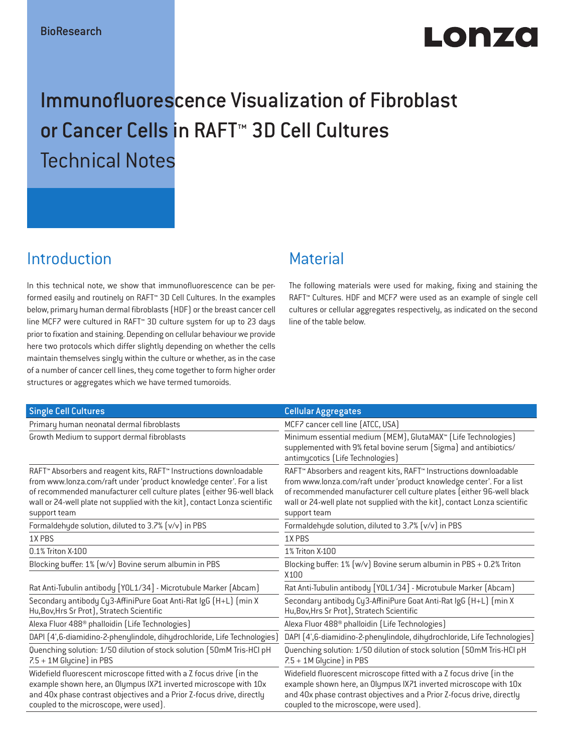# $L$ o a $\overline{Z}$ o

# Immunofluorescence Visualization of Fibroblast or Cancer Cells in RAFT™ 3D Cell Cultures Technical Notes

# Introduction

In this technical note, we show that immunofluorescence can be performed easily and routinely on RAFT™ 3D Cell Cultures. In the examples below, primary human dermal fibroblasts (HDF) or the breast cancer cell line MCF7 were cultured in RAFT™ 3D culture system for up to 23 days prior to fixation and staining. Depending on cellular behaviour we provide here two protocols which differ slightly depending on whether the cells maintain themselves singly within the culture or whether, as in the case of a number of cancer cell lines, they come together to form higher order structures or aggregates which we have termed tumoroids.

## Material

The following materials were used for making, fixing and staining the RAFT™ Cultures. HDF and MCF7 were used as an example of single cell cultures or cellular aggregates respectively, as indicated on the second line of the table below.

| <b>Single Cell Cultures</b>                                                                                                                                                                                                                                                                                                  | <b>Cellular Aggregates</b>                                                                                                                                                                                                                                                                                       |
|------------------------------------------------------------------------------------------------------------------------------------------------------------------------------------------------------------------------------------------------------------------------------------------------------------------------------|------------------------------------------------------------------------------------------------------------------------------------------------------------------------------------------------------------------------------------------------------------------------------------------------------------------|
| Primary human neonatal dermal fibroblasts                                                                                                                                                                                                                                                                                    | MCF7 cancer cell line [ATCC, USA]                                                                                                                                                                                                                                                                                |
| Growth Medium to support dermal fibroblasts                                                                                                                                                                                                                                                                                  | Minimum essential medium (MEM), GlutaMAX™ (Life Technologies)<br>supplemented with 9% fetal bovine serum (Sigma) and antibiotics/<br>antimycotics (Life Technologies)                                                                                                                                            |
| RAFT <sup>™</sup> Absorbers and reagent kits, RAFT™ Instructions downloadable<br>from www.lonza.com/raft under 'product knowledge center'. For a list<br>of recommended manufacturer cell culture plates (either 96-well black<br>wall or 24-well plate not supplied with the kit), contact Lonza scientific<br>support team | RAFT™ Absorbers and reagent kits, RAFT™ Instructions downloadable<br>from www.lonza.com/raft under 'product knowledge center'. For a list<br>of recommended manufacturer cell culture plates (either 96-well black<br>wall or 24-well plate not supplied with the kit), contact Lonza scientific<br>support team |
| Formaldehyde solution, diluted to 3.7% (v/v) in PBS                                                                                                                                                                                                                                                                          | Formaldehyde solution, diluted to 3.7% (v/v) in PBS                                                                                                                                                                                                                                                              |
| 1X PBS                                                                                                                                                                                                                                                                                                                       | 1X PBS                                                                                                                                                                                                                                                                                                           |
| 0.1% Triton X-100                                                                                                                                                                                                                                                                                                            | 1% Triton X-100                                                                                                                                                                                                                                                                                                  |
| Blocking buffer: 1% [w/v] Bovine serum albumin in PBS                                                                                                                                                                                                                                                                        | Blocking buffer: 1% (w/v) Bovine serum albumin in PBS + 0.2% Triton<br>X100                                                                                                                                                                                                                                      |
| Rat Anti-Tubulin antibody [YOL1/34] - Microtubule Marker (Abcam)                                                                                                                                                                                                                                                             | Rat Anti-Tubulin antibody [YOL1/34] - Microtubule Marker (Abcam)                                                                                                                                                                                                                                                 |
| Secondary antibody Cy3-AffiniPure Goat Anti-Rat IgG (H+L) (min X<br>Hu, Bov, Hrs Sr Prot), Stratech Scientific                                                                                                                                                                                                               | Secondary antibody Cy3-AffiniPure Goat Anti-Rat IgG (H+L) (min X<br>Hu, Bov, Hrs Sr Prot), Stratech Scientific                                                                                                                                                                                                   |
| Alexa Fluor 488 <sup>®</sup> phalloidin (Life Technologies)                                                                                                                                                                                                                                                                  | Alexa Fluor 488 <sup>®</sup> phalloidin (Life Technologies)                                                                                                                                                                                                                                                      |
| DAPI [4',6-diamidino-2-phenylindole, dihydrochloride, Life Technologies]                                                                                                                                                                                                                                                     | DAPI (4',6-diamidino-2-phenylindole, dihydrochloride, Life Technologies)                                                                                                                                                                                                                                         |
| Quenching solution: 1/50 dilution of stock solution (50mM Tris-HCl pH<br>7.5 + 1M Glycine) in PBS                                                                                                                                                                                                                            | Quenching solution: 1/50 dilution of stock solution (50mM Tris-HCl pH<br>7.5 + 1M Glycine) in PBS                                                                                                                                                                                                                |
| Widefield fluorescent microscope fitted with a Z focus drive (in the<br>example shown here, an Olympus IX71 inverted microscope with 10x<br>and 40x phase contrast objectives and a Prior Z-focus drive, directly<br>coupled to the microscope, were used).                                                                  | Widefield fluorescent microscope fitted with a Z focus drive (in the<br>example shown here, an Olympus IX71 inverted microscope with 10x<br>and 40x phase contrast objectives and a Prior Z-focus drive, directly<br>coupled to the microscope, were used).                                                      |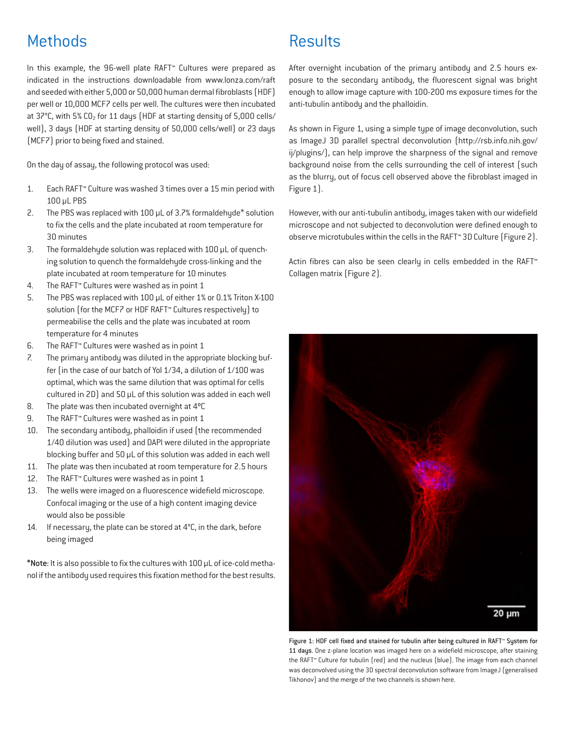# **Methods**

In this example, the 96-well plate RAFT™ Cultures were prepared as indicated in the instructions downloadable from www.lonza.com/raft and seeded with either 5,000 or 50,000 human dermal fibroblasts (HDF) per well or 10,000 MCF7 cells per well. The cultures were then incubated at  $37^{\circ}$ C, with 5% CO<sub>2</sub> for 11 days (HDF at starting density of 5,000 cells/ well), 3 days (HDF at starting density of 50,000 cells/well) or 23 days (MCF7) prior to being fixed and stained.

On the day of assay, the following protocol was used:

- 1. Each RAFT™ Culture was washed 3 times over a 15 min period with 100 µL PBS
- 2. The PBS was replaced with 100 µL of 3.7% formaldehyde\* solution to fix the cells and the plate incubated at room temperature for 30 minutes
- 3. The formaldehyde solution was replaced with 100 µL of quenching solution to quench the formaldehyde cross-linking and the plate incubated at room temperature for 10 minutes
- 4. The RAFT™ Cultures were washed as in point 1
- 5. The PBS was replaced with 100 µL of either 1% or 0.1% Triton X-100 solution (for the MCF7 or HDF RAFT™ Cultures respectively) to permeabilise the cells and the plate was incubated at room temperature for 4 minutes
- 6. The RAFT™ Cultures were washed as in point 1
- 7. The primary antibody was diluted in the appropriate blocking buffer (in the case of our batch of Yol 1/34, a dilution of 1/100 was optimal, which was the same dilution that was optimal for cells cultured in 2D) and 50 µL of this solution was added in each well
- 8. The plate was then incubated overnight at 4ºC
- 9. The RAFT™ Cultures were washed as in point 1
- 10. The secondary antibody, phalloidin if used (the recommended 1/40 dilution was used) and DAPI were diluted in the appropriate blocking buffer and 50 µL of this solution was added in each well
- 11. The plate was then incubated at room temperature for 2.5 hours
- 12. The RAFT™ Cultures were washed as in point 1
- 13. The wells were imaged on a fluorescence widefield microscope. Confocal imaging or the use of a high content imaging device would also be possible
- 14. If necessary, the plate can be stored at  $4^{\circ}$ C, in the dark, before being imaged

\*Note: It is also possible to fix the cultures with 100 µL of ice-cold methanol if the antibody used requires this fixation method for the best results.

## **Results**

After overnight incubation of the primary antibody and 2.5 hours exposure to the secondary antibody, the fluorescent signal was bright enough to allow image capture with 100-200 ms exposure times for the anti-tubulin antibody and the phalloidin.

As shown in Figure 1, using a simple type of image deconvolution, such as ImageJ 3D parallel spectral deconvolution (http://rsb.info.nih.gov/ ij/plugins/), can help improve the sharpness of the signal and remove background noise from the cells surrounding the cell of interest (such as the blurry, out of focus cell observed above the fibroblast imaged in Figure 1).

However, with our anti-tubulin antibody, images taken with our widefield microscope and not subjected to deconvolution were defined enough to observe microtubules within the cells in the RAFT™ 3D Culture (Figure 2).

Actin fibres can also be seen clearly in cells embedded in the RAFT™ Collagen matrix (Figure 2).



Figure 1: HDF cell fixed and stained for tubulin after being cultured in RAFT™ System for 11 days. One z-plane location was imaged here on a widefield microscope, after staining the RAFT™ Culture for tubulin (red) and the nucleus (blue). The image from each channel was deconvolved using the 3D spectral deconvolution software from ImageJ (generalised Tikhonov) and the merge of the two channels is shown here.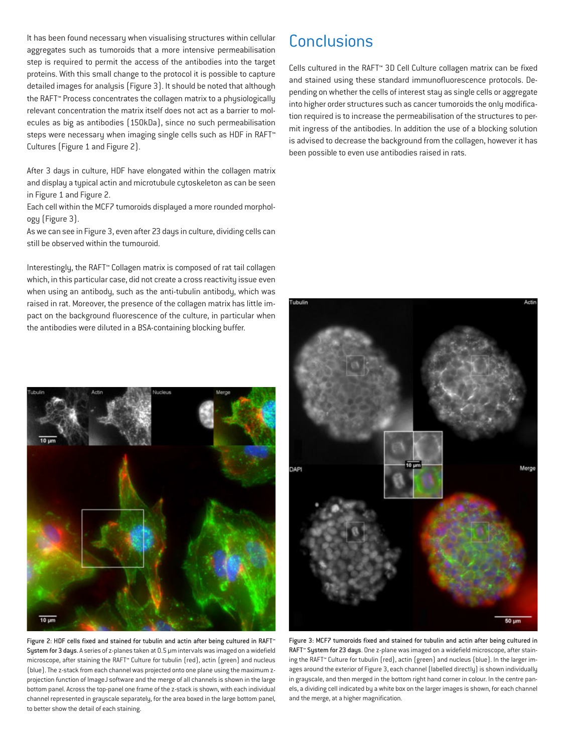It has been found necessary when visualising structures within cellular aggregates such as tumoroids that a more intensive permeabilisation step is required to permit the access of the antibodies into the target proteins. With this small change to the protocol it is possible to capture detailed images for analysis (Figure 3). It should be noted that although the RAFT™ Process concentrates the collagen matrix to a physiologically relevant concentration the matrix itself does not act as a barrier to molecules as big as antibodies (150kDa), since no such permeabilisation steps were necessary when imaging single cells such as HDF in RAFT™ Cultures (Figure 1 and Figure 2).

After 3 days in culture, HDF have elongated within the collagen matrix and display a typical actin and microtubule cytoskeleton as can be seen in Figure 1 and Figure 2.

Each cell within the MCF7 tumoroids displayed a more rounded morphology (Figure 3).

As we can see in Figure 3, even after 23 days in culture, dividing cells can still be observed within the tumouroid.

Interestingly, the RAFT™ Collagen matrix is composed of rat tail collagen which, in this particular case, did not create a cross reactivity issue even when using an antibody, such as the anti-tubulin antibody, which was raised in rat. Moreover, the presence of the collagen matrix has little impact on the background fluorescence of the culture, in particular when the antibodies were diluted in a BSA-containing blocking buffer.

# **Conclusions**

Cells cultured in the RAFT™ 3D Cell Culture collagen matrix can be fixed and stained using these standard immunofluorescence protocols. Depending on whether the cells of interest stay as single cells or aggregate into higher order structures such as cancer tumoroids the only modification required is to increase the permeabilisation of the structures to permit ingress of the antibodies. In addition the use of a blocking solution is advised to decrease the background from the collagen, however it has been possible to even use antibodies raised in rats.



Figure 2: HDF cells fixed and stained for tubulin and actin after being cultured in RAFT™ System for 3 days. A series of z-planes taken at 0.5 µm intervals was imaged on a widefield microscope, after staining the RAFT™ Culture for tubulin (red), actin (green) and nucleus (blue). The z-stack from each channel was projected onto one plane using the maximum zprojection function of ImageJ software and the merge of all channels is shown in the large bottom panel. Across the top-panel one frame of the z-stack is shown, with each individual channel represented in grayscale separately, for the area boxed in the large bottom panel, to better show the detail of each staining.



Figure 3: MCF7 tumoroids fixed and stained for tubulin and actin after being cultured in RAFT™ System for 23 days. One z-plane was imaged on a widefield microscope, after staining the RAFT™ Culture for tubulin (red), actin (green) and nucleus (blue). In the larger images around the exterior of Figure 3, each channel (labelled directly) is shown individually in grayscale, and then merged in the bottom right hand corner in colour. In the centre panels, a dividing cell indicated by a white box on the larger images is shown, for each channel and the merge, at a higher magnification.